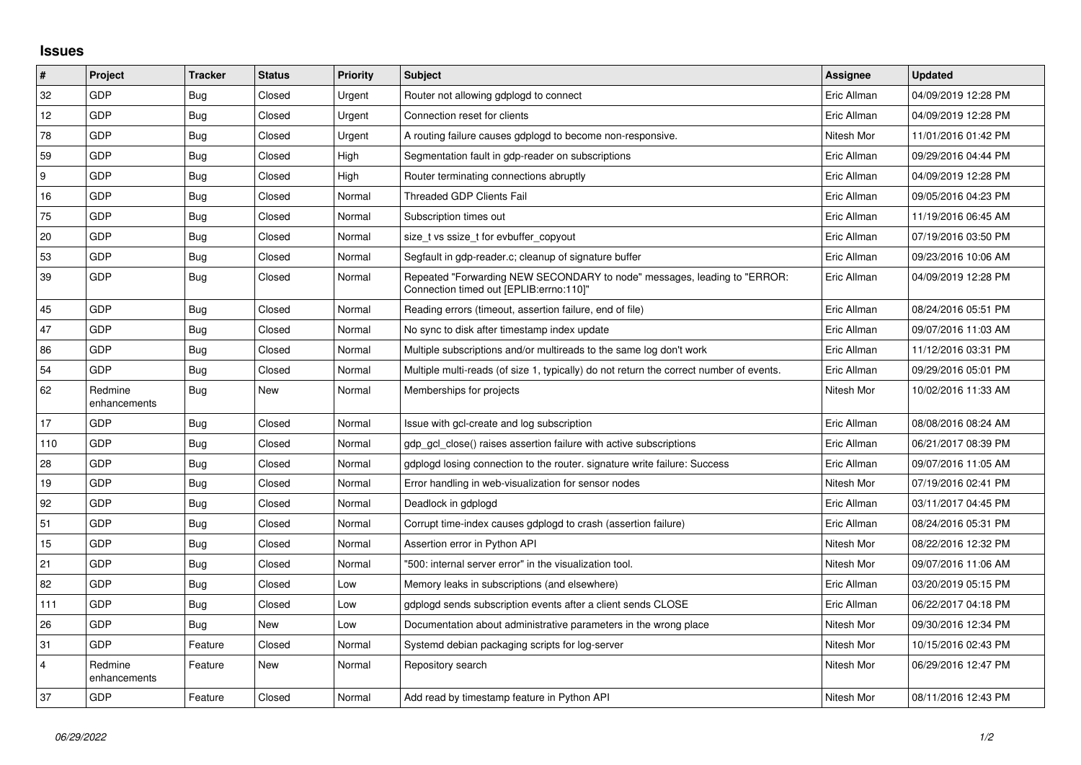## **Issues**

| $\pmb{\sharp}$          | Project                 | <b>Tracker</b> | <b>Status</b> | Priority | <b>Subject</b>                                                                                                      | <b>Assignee</b> | <b>Updated</b>      |
|-------------------------|-------------------------|----------------|---------------|----------|---------------------------------------------------------------------------------------------------------------------|-----------------|---------------------|
| 32                      | GDP                     | Bug            | Closed        | Urgent   | Router not allowing gdplogd to connect                                                                              | Eric Allman     | 04/09/2019 12:28 PM |
| 12                      | GDP                     | <b>Bug</b>     | Closed        | Urgent   | Connection reset for clients                                                                                        | Eric Allman     | 04/09/2019 12:28 PM |
| 78                      | GDP                     | <b>Bug</b>     | Closed        | Urgent   | A routing failure causes gdplogd to become non-responsive.                                                          | Nitesh Mor      | 11/01/2016 01:42 PM |
| 59                      | GDP                     | <b>Bug</b>     | Closed        | High     | Segmentation fault in gdp-reader on subscriptions                                                                   | Eric Allman     | 09/29/2016 04:44 PM |
| 9                       | GDP                     | <b>Bug</b>     | Closed        | High     | Router terminating connections abruptly                                                                             | Eric Allman     | 04/09/2019 12:28 PM |
| 16                      | GDP                     | <b>Bug</b>     | Closed        | Normal   | <b>Threaded GDP Clients Fail</b>                                                                                    | Eric Allman     | 09/05/2016 04:23 PM |
| 75                      | <b>GDP</b>              | <b>Bug</b>     | Closed        | Normal   | Subscription times out                                                                                              | Eric Allman     | 11/19/2016 06:45 AM |
| 20                      | GDP                     | <b>Bug</b>     | Closed        | Normal   | size_t vs ssize_t for evbuffer_copyout                                                                              | Eric Allman     | 07/19/2016 03:50 PM |
| 53                      | GDP                     | Bug            | Closed        | Normal   | Segfault in gdp-reader.c; cleanup of signature buffer                                                               | Eric Allman     | 09/23/2016 10:06 AM |
| 39                      | <b>GDP</b>              | <b>Bug</b>     | Closed        | Normal   | Repeated "Forwarding NEW SECONDARY to node" messages, leading to "ERROR:<br>Connection timed out [EPLIB:errno:110]" | Eric Allman     | 04/09/2019 12:28 PM |
| 45                      | GDP                     | <b>Bug</b>     | Closed        | Normal   | Reading errors (timeout, assertion failure, end of file)                                                            | Eric Allman     | 08/24/2016 05:51 PM |
| 47                      | GDP                     | <b>Bug</b>     | Closed        | Normal   | No sync to disk after timestamp index update                                                                        | Eric Allman     | 09/07/2016 11:03 AM |
| 86                      | <b>GDP</b>              | Bug            | Closed        | Normal   | Multiple subscriptions and/or multireads to the same log don't work                                                 | Eric Allman     | 11/12/2016 03:31 PM |
| 54                      | <b>GDP</b>              | <b>Bug</b>     | Closed        | Normal   | Multiple multi-reads (of size 1, typically) do not return the correct number of events.                             | Eric Allman     | 09/29/2016 05:01 PM |
| 62                      | Redmine<br>enhancements | Bug            | New           | Normal   | Memberships for projects                                                                                            | Nitesh Mor      | 10/02/2016 11:33 AM |
| 17                      | GDP                     | <b>Bug</b>     | Closed        | Normal   | Issue with gcl-create and log subscription                                                                          | Eric Allman     | 08/08/2016 08:24 AM |
| 110                     | <b>GDP</b>              | <b>Bug</b>     | Closed        | Normal   | gdp gcl close() raises assertion failure with active subscriptions                                                  | Eric Allman     | 06/21/2017 08:39 PM |
| 28                      | <b>GDP</b>              | Bug            | Closed        | Normal   | gdplogd losing connection to the router, signature write failure: Success                                           | Eric Allman     | 09/07/2016 11:05 AM |
| 19                      | GDP                     | <b>Bug</b>     | Closed        | Normal   | Error handling in web-visualization for sensor nodes                                                                | Nitesh Mor      | 07/19/2016 02:41 PM |
| 92                      | <b>GDP</b>              | <b>Bug</b>     | Closed        | Normal   | Deadlock in gdplogd                                                                                                 | Eric Allman     | 03/11/2017 04:45 PM |
| 51                      | GDP                     | Bug            | Closed        | Normal   | Corrupt time-index causes gdplogd to crash (assertion failure)                                                      | Eric Allman     | 08/24/2016 05:31 PM |
| 15                      | <b>GDP</b>              | <b>Bug</b>     | Closed        | Normal   | Assertion error in Python API                                                                                       | Nitesh Mor      | 08/22/2016 12:32 PM |
| 21                      | GDP                     | Bug            | Closed        | Normal   | '500: internal server error" in the visualization tool.                                                             | Nitesh Mor      | 09/07/2016 11:06 AM |
| 82                      | GDP                     | <b>Bug</b>     | Closed        | Low      | Memory leaks in subscriptions (and elsewhere)                                                                       | Eric Allman     | 03/20/2019 05:15 PM |
| 111                     | <b>GDP</b>              | <b>Bug</b>     | Closed        | Low      | gdplogd sends subscription events after a client sends CLOSE                                                        | Eric Allman     | 06/22/2017 04:18 PM |
| 26                      | <b>GDP</b>              | <b>Bug</b>     | New           | Low      | Documentation about administrative parameters in the wrong place                                                    | Nitesh Mor      | 09/30/2016 12:34 PM |
| 31                      | <b>GDP</b>              | Feature        | Closed        | Normal   | Systemd debian packaging scripts for log-server                                                                     | Nitesh Mor      | 10/15/2016 02:43 PM |
| $\overline{\mathbf{4}}$ | Redmine<br>enhancements | Feature        | New           | Normal   | Repository search                                                                                                   | Nitesh Mor      | 06/29/2016 12:47 PM |
| 37                      | GDP                     | Feature        | Closed        | Normal   | Add read by timestamp feature in Python API                                                                         | Nitesh Mor      | 08/11/2016 12:43 PM |